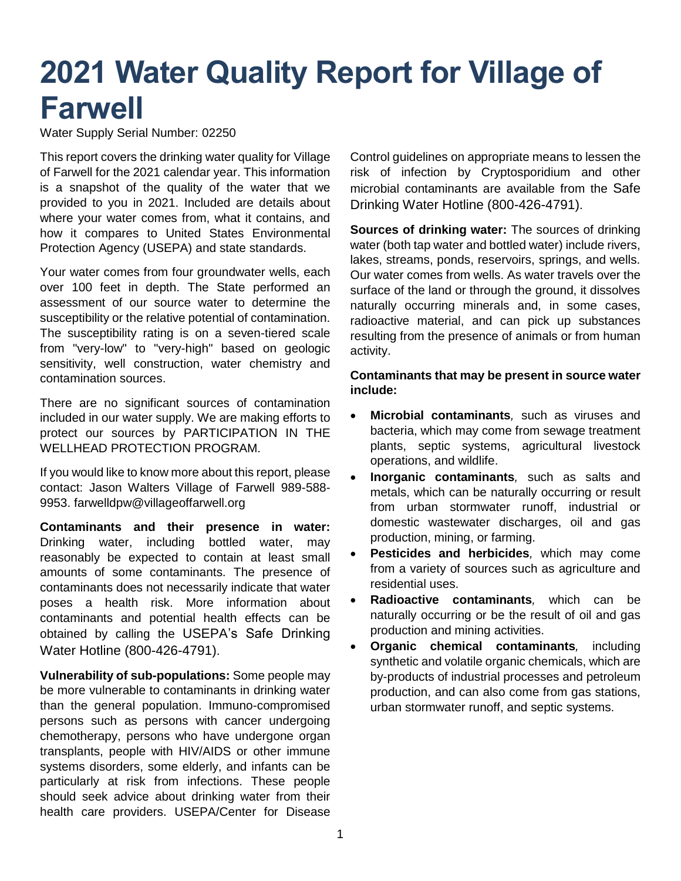# **2021 Water Quality Report for Village of Farwell**

Water Supply Serial Number: 02250

This report covers the drinking water quality for Village of Farwell for the 2021 calendar year. This information is a snapshot of the quality of the water that we provided to you in 2021. Included are details about where your water comes from, what it contains, and how it compares to United States Environmental Protection Agency (USEPA) and state standards.

Your water comes from four groundwater wells, each over 100 feet in depth. The State performed an assessment of our source water to determine the susceptibility or the relative potential of contamination. The susceptibility rating is on a seven-tiered scale from "very-low" to "very-high" based on geologic sensitivity, well construction, water chemistry and contamination sources.

There are no significant sources of contamination included in our water supply. We are making efforts to protect our sources by PARTICIPATION IN THE WELLHEAD PROTECTION PROGRAM.

If you would like to know more about this report, please contact: Jason Walters Village of Farwell 989-588- 9953. farwelldpw@villageoffarwell.org

**Contaminants and their presence in water:**  Drinking water, including bottled water, may reasonably be expected to contain at least small amounts of some contaminants. The presence of contaminants does not necessarily indicate that water poses a health risk. More information about contaminants and potential health effects can be obtained by calling the USEPA's Safe Drinking Water Hotline (800-426-4791).

**Vulnerability of sub-populations:** Some people may be more vulnerable to contaminants in drinking water than the general population. Immuno-compromised persons such as persons with cancer undergoing chemotherapy, persons who have undergone organ transplants, people with HIV/AIDS or other immune systems disorders, some elderly, and infants can be particularly at risk from infections. These people should seek advice about drinking water from their health care providers. USEPA/Center for Disease

Control guidelines on appropriate means to lessen the risk of infection by Cryptosporidium and other microbial contaminants are available from the Safe Drinking Water Hotline (800-426-4791).

**Sources of drinking water:** The sources of drinking water (both tap water and bottled water) include rivers, lakes, streams, ponds, reservoirs, springs, and wells. Our water comes from wells. As water travels over the surface of the land or through the ground, it dissolves naturally occurring minerals and, in some cases, radioactive material, and can pick up substances resulting from the presence of animals or from human activity.

#### **Contaminants that may be present in source water include:**

- **Microbial contaminants***,* such as viruses and bacteria, which may come from sewage treatment plants, septic systems, agricultural livestock operations, and wildlife.
- **Inorganic contaminants***,* such as salts and metals, which can be naturally occurring or result from urban stormwater runoff, industrial or domestic wastewater discharges, oil and gas production, mining, or farming.
- **Pesticides and herbicides***,* which may come from a variety of sources such as agriculture and residential uses.
- **Radioactive contaminants***,* which can be naturally occurring or be the result of oil and gas production and mining activities.
- **Organic chemical contaminants***,* including synthetic and volatile organic chemicals, which are by-products of industrial processes and petroleum production, and can also come from gas stations, urban stormwater runoff, and septic systems.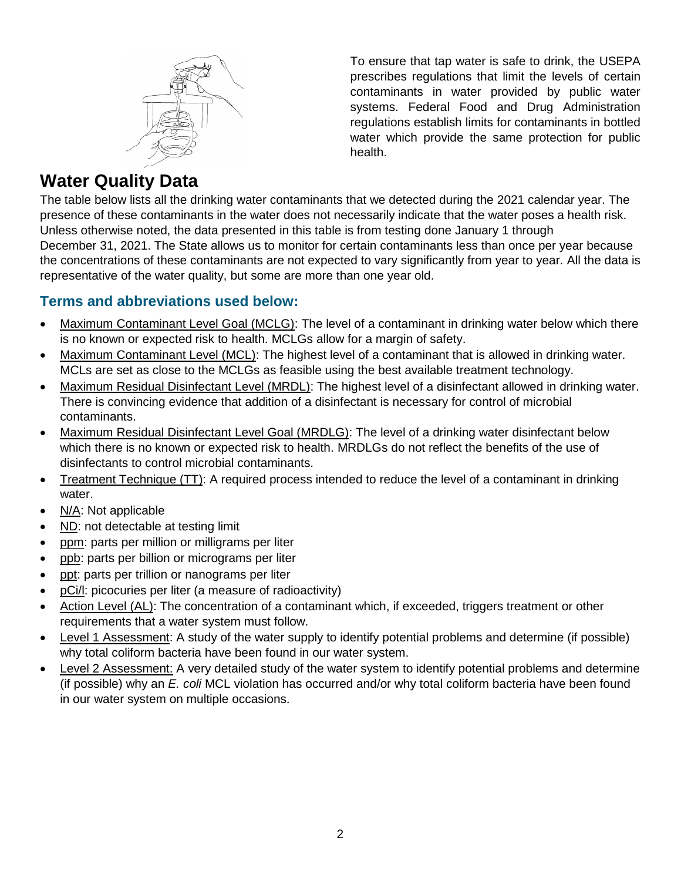

To ensure that tap water is safe to drink, the USEPA prescribes regulations that limit the levels of certain contaminants in water provided by public water systems. Federal Food and Drug Administration regulations establish limits for contaminants in bottled water which provide the same protection for public health.

## **Water Quality Data**

The table below lists all the drinking water contaminants that we detected during the 2021 calendar year. The presence of these contaminants in the water does not necessarily indicate that the water poses a health risk. Unless otherwise noted, the data presented in this table is from testing done January 1 through December 31, 2021. The State allows us to monitor for certain contaminants less than once per year because the concentrations of these contaminants are not expected to vary significantly from year to year. All the data is representative of the water quality, but some are more than one year old.

### **Terms and abbreviations used below:**

- Maximum Contaminant Level Goal (MCLG): The level of a contaminant in drinking water below which there is no known or expected risk to health. MCLGs allow for a margin of safety.
- Maximum Contaminant Level (MCL): The highest level of a contaminant that is allowed in drinking water. MCLs are set as close to the MCLGs as feasible using the best available treatment technology.
- Maximum Residual Disinfectant Level (MRDL): The highest level of a disinfectant allowed in drinking water. There is convincing evidence that addition of a disinfectant is necessary for control of microbial contaminants.
- Maximum Residual Disinfectant Level Goal (MRDLG): The level of a drinking water disinfectant below which there is no known or expected risk to health. MRDLGs do not reflect the benefits of the use of disinfectants to control microbial contaminants.
- Treatment Technique (TT): A required process intended to reduce the level of a contaminant in drinking water.
- N/A: Not applicable
- ND: not detectable at testing limit
- ppm: parts per million or milligrams per liter
- ppb: parts per billion or micrograms per liter
- ppt: parts per trillion or nanograms per liter
- pCi/l: picocuries per liter (a measure of radioactivity)
- Action Level (AL): The concentration of a contaminant which, if exceeded, triggers treatment or other requirements that a water system must follow.
- Level 1 Assessment: A study of the water supply to identify potential problems and determine (if possible) why total coliform bacteria have been found in our water system.
- Level 2 Assessment: A very detailed study of the water system to identify potential problems and determine (if possible) why an *E. coli* MCL violation has occurred and/or why total coliform bacteria have been found in our water system on multiple occasions.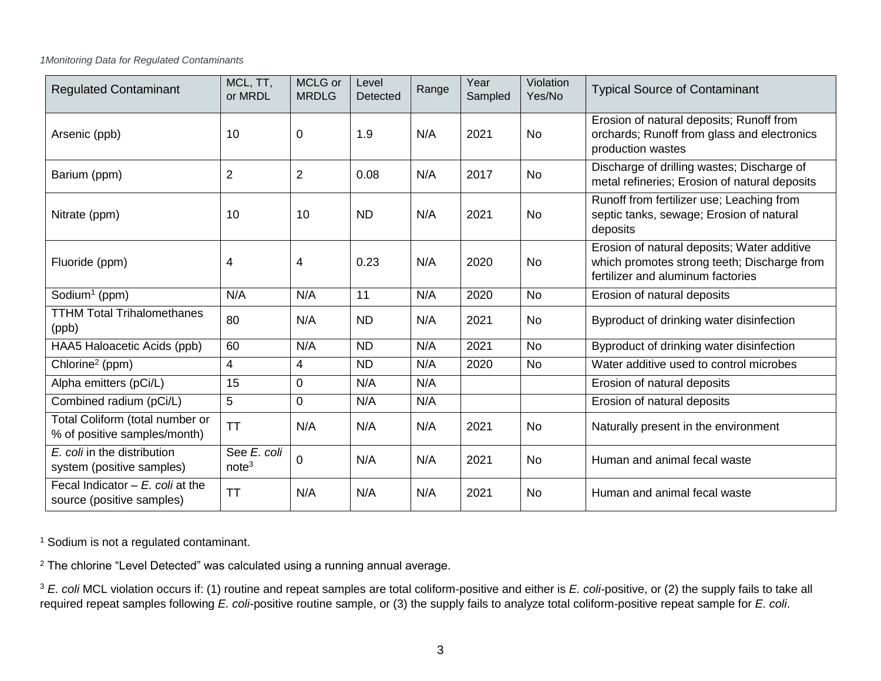#### *1Monitoring Data for Regulated Contaminants*

| <b>Regulated Contaminant</b>                                    | MCL, TT,<br>or MRDL              | MCLG or<br><b>MRDLG</b> | Level<br>Detected | Range | Year<br>Sampled | Violation<br>Yes/No | <b>Typical Source of Contaminant</b>                                                                                            |
|-----------------------------------------------------------------|----------------------------------|-------------------------|-------------------|-------|-----------------|---------------------|---------------------------------------------------------------------------------------------------------------------------------|
| Arsenic (ppb)                                                   | 10                               | 0                       | 1.9               | N/A   | 2021            | No                  | Erosion of natural deposits; Runoff from<br>orchards; Runoff from glass and electronics<br>production wastes                    |
| Barium (ppm)                                                    | $\overline{2}$                   | $\overline{2}$          | 0.08              | N/A   | 2017            | <b>No</b>           | Discharge of drilling wastes; Discharge of<br>metal refineries; Erosion of natural deposits                                     |
| Nitrate (ppm)                                                   | 10                               | 10                      | <b>ND</b>         | N/A   | 2021            | <b>No</b>           | Runoff from fertilizer use; Leaching from<br>septic tanks, sewage; Erosion of natural<br>deposits                               |
| Fluoride (ppm)                                                  | 4                                | 4                       | 0.23              | N/A   | 2020            | <b>No</b>           | Erosion of natural deposits; Water additive<br>which promotes strong teeth; Discharge from<br>fertilizer and aluminum factories |
| Sodium <sup>1</sup> (ppm)                                       | N/A                              | N/A                     | 11                | N/A   | 2020            | <b>No</b>           | Erosion of natural deposits                                                                                                     |
| <b>TTHM Total Trihalomethanes</b><br>(ppb)                      | 80                               | N/A                     | <b>ND</b>         | N/A   | 2021            | <b>No</b>           | Byproduct of drinking water disinfection                                                                                        |
| HAA5 Haloacetic Acids (ppb)                                     | 60                               | N/A                     | <b>ND</b>         | N/A   | 2021            | <b>No</b>           | Byproduct of drinking water disinfection                                                                                        |
| Chlorine <sup>2</sup> (ppm)                                     | 4                                | 4                       | <b>ND</b>         | N/A   | 2020            | <b>No</b>           | Water additive used to control microbes                                                                                         |
| Alpha emitters (pCi/L)                                          | 15                               | 0                       | N/A               | N/A   |                 |                     | Erosion of natural deposits                                                                                                     |
| Combined radium (pCi/L)                                         | 5                                | 0                       | N/A               | N/A   |                 |                     | Erosion of natural deposits                                                                                                     |
| Total Coliform (total number or<br>% of positive samples/month) | <b>TT</b>                        | N/A                     | N/A               | N/A   | 2021            | No                  | Naturally present in the environment                                                                                            |
| E. coli in the distribution<br>system (positive samples)        | See E. coli<br>note <sup>3</sup> | 0                       | N/A               | N/A   | 2021            | <b>No</b>           | Human and animal fecal waste                                                                                                    |
| Fecal Indicator $-E$ , coli at the<br>source (positive samples) | <b>TT</b>                        | N/A                     | N/A               | N/A   | 2021            | No                  | Human and animal fecal waste                                                                                                    |

<sup>1</sup> Sodium is not a regulated contaminant.

 $2$  The chlorine "Level Detected" was calculated using a running annual average.

<sup>3</sup> E. coli MCL violation occurs if: (1) routine and repeat samples are total coliform-positive and either is E. coli-positive, or (2) the supply fails to take all required repeat samples following *E. coli*-positive routine sample, or (3) the supply fails to analyze total coliform-positive repeat sample for *E. coli*.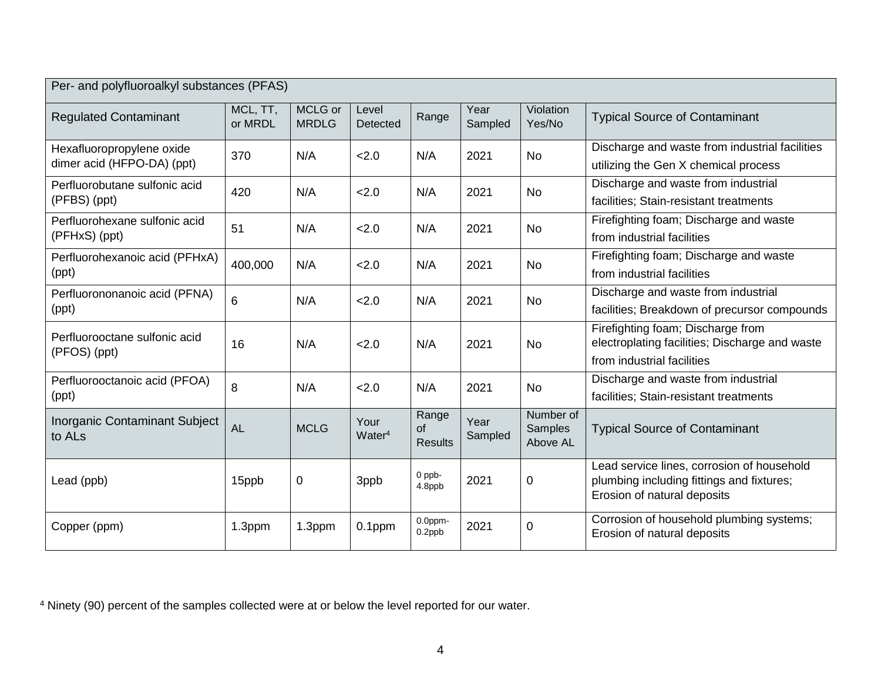| Per- and polyfluoroalkyl substances (PFAS)                 |                     |                         |                            |                                      |                 |                                  |                                                                                                                        |
|------------------------------------------------------------|---------------------|-------------------------|----------------------------|--------------------------------------|-----------------|----------------------------------|------------------------------------------------------------------------------------------------------------------------|
| <b>Regulated Contaminant</b>                               | MCL, TT,<br>or MRDL | MCLG or<br><b>MRDLG</b> | Level<br>Detected          | Range                                | Year<br>Sampled | Violation<br>Yes/No              | <b>Typical Source of Contaminant</b>                                                                                   |
| Hexafluoropropylene oxide<br>dimer acid (HFPO-DA) (ppt)    | 370                 | N/A                     | 2.0                        | N/A                                  | 2021            | <b>No</b>                        | Discharge and waste from industrial facilities<br>utilizing the Gen X chemical process                                 |
| Perfluorobutane sulfonic acid<br>(PFBS) (ppt)              | 420                 | N/A                     | 2.0                        | N/A                                  | 2021            | <b>No</b>                        | Discharge and waste from industrial<br>facilities; Stain-resistant treatments                                          |
| Perfluorohexane sulfonic acid<br>(PFHxS) (ppt)             | 51                  | N/A                     | 2.0                        | N/A                                  | 2021            | No                               | Firefighting foam; Discharge and waste<br>from industrial facilities                                                   |
| Perfluorohexanoic acid (PFHxA)<br>(ppt)                    | 400,000             | N/A                     | 2.0                        | N/A                                  | 2021            | No                               | Firefighting foam; Discharge and waste<br>from industrial facilities                                                   |
| Perfluorononanoic acid (PFNA)<br>(ppt)                     | 6                   | N/A                     | 2.0                        | N/A                                  | 2021            | No                               | Discharge and waste from industrial<br>facilities; Breakdown of precursor compounds                                    |
| Perfluorooctane sulfonic acid<br>(PFOS) (ppt)              | 16                  | N/A                     | 2.0                        | N/A                                  | 2021            | <b>No</b>                        | Firefighting foam; Discharge from<br>electroplating facilities; Discharge and waste<br>from industrial facilities      |
| Perfluorooctanoic acid (PFOA)<br>(ppt)                     | 8                   | N/A                     | 2.0                        | N/A                                  | 2021            | No                               | Discharge and waste from industrial<br>facilities; Stain-resistant treatments                                          |
| <b>Inorganic Contaminant Subject</b><br>to AL <sub>s</sub> | <b>AL</b>           | <b>MCLG</b>             | Your<br>Water <sup>4</sup> | Range<br><b>of</b><br><b>Results</b> | Year<br>Sampled | Number of<br>Samples<br>Above AL | <b>Typical Source of Contaminant</b>                                                                                   |
| Lead (ppb)                                                 | 15ppb               | $\pmb{0}$               | 3ppb                       | $0$ ppb-<br>4.8ppb                   | 2021            | $\mathbf 0$                      | Lead service lines, corrosion of household<br>plumbing including fittings and fixtures;<br>Erosion of natural deposits |
| Copper (ppm)                                               | 1.3ppm              | 1.3ppm                  | $0.1$ ppm                  | 0.0ppm-<br>0.2ppb                    | 2021            | $\mathbf 0$                      | Corrosion of household plumbing systems;<br>Erosion of natural deposits                                                |

<sup>4</sup> Ninety (90) percent of the samples collected were at or below the level reported for our water.